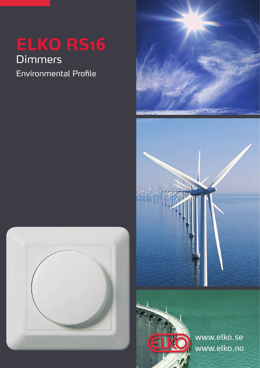# **Dimmers** Environmental Profile







www.elko.no www.elko.se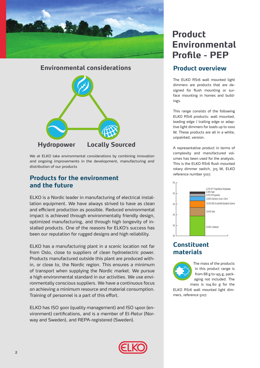

# **Environmental considerations Hydropower Locally Sourced**

We at ELKO take environmental considerations by combining innovation and ongoing improvements in the development, manufacturing and distribution of our products

# **Products for the environment and the future**

ELKO is a Nordic leader in manufacturing of electrical installation equipment. We have always strived to have as clean and efficient production as possible. Reduced environmental impact is achieved through environmentally friendly design, optimized manufacturing, and through high longevity of installed products. One of the reasons for ELKO's success has been our reputation for rugged designs and high reliability.

ELKO has a manufacturing plant in a scenic location not far from Oslo, close to suppliers of clean hydroelectric power. Products manufactured outside this plant are produced within, or close to, the Nordic region. This ensures a minimum of transport when supplying the Nordic market. We pursue a high environmental standard in our activities. We use environmentally conscious suppliers. We have a continuous focus on achieving a minimum resource and material consumption. Training of personnel is a part of this effort.

ELKO has ISO 9001 (quality management) and ISO 14001 (environment) certifications, and is a member of El-Retur (Norway and Sweden), and REPA-registered (Sweden).

# This is the ELKO RS16 flush mounted rotary dimmer switch, 315 W, ELKO reference number 5107.

ings.

unpainted, version.



**Product overview**

The ELKO RS16 wall mounted light dimmers are products that are designed for flush mounting or surface mounting in homes and build-

This range consists of the following ELKO RS16 products: wall mounted, leading edge / trailing edge or adaptive light dimmers for loads up to 1000 W. These products are all in a white,

A representative product in terms of complexity and manufactured volumes has been used for the analysis.

# **Constituent materials**



The mass of the products in this product range is from 88 g to 145 g, packaging not included. The mass is 104.60 g for the

ELKO RS16 wall mounted light dimmers, reference 5107.

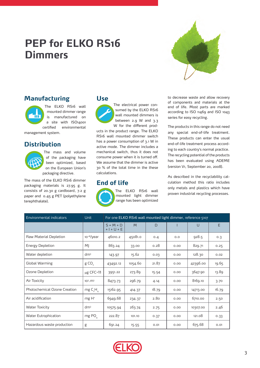# **PEP for ELKO RS16 Dimmers**



# **Manufacturing**

The ELKO RS16 wall mounted dimmer range is manufactured on a site with ISO14001 certified environmental

management system.

# **Distribution**



The mass and volume of the packaging have been optimized, based on the European Union's packaging directive.

The mass of the ELKO RS16 dimmer packaging materials is 27.95 g. It consists of 20.30 g cardboard, 7.2 g paper and 0.45 g PET (polyethylene terephthalate).

## **Use**

The electrical power consumed by the ELKO RS16 wall mounted dimmers is between 2.9 W and 3.3 W for the different prod-

ucts in the product range. The ELKO RS16 wall mounted dimmer switch has a power consumption of 3.1 W in active mode. The dimmer includes a mechanical switch, thus it does not consume power when it is turned off. We assume that the dimmer is active 30 % of the total time in the these calculations.

## **End of life**



The ELKO RS16 wall mounted light dimmer range has been optimized to decrease waste and allow recovery of components and materials at the end of life. Most parts are marked according to ISO 11469 and ISO 1043 series for easy recycling.

The products in this range do not need any special end-of-life treatment. These products can enter the usual end-of-life treatment process according to each country's normal practice. The recycling potential of the products has been evaluated using ADEME (version V1, September 20, 2008).

As described in the recyclability calculation method this ratio includes only metals and plastics which have proven industrial recycling processes.

| Environmental indicators     | <b>Unit</b>                      | For one ELKO RS16 wall mounted light dimmer, reference 5107 |         |        |      |          |       |
|------------------------------|----------------------------------|-------------------------------------------------------------|---------|--------|------|----------|-------|
|                              |                                  | $S = M + D$<br>$+$   + U + E                                | M       | $\Box$ |      | $\cup$   | E     |
| Raw Material Depletion       | 10-18/year                       | 46010.2                                                     | 45081.0 | 0.4    | 0.0  | 928.5    | 0.3   |
| <b>Energy Depletion</b>      | MI                               | 863.24                                                      | 33.00   | 0.28   | 0.00 | 829.71   | 0.25  |
| Water depletion              | $dm^3$                           | 143.97                                                      | 15.62   | 0.03   | 0.00 | 128.30   | 0.02  |
| Global Warming               | gCO <sub>2</sub>                 | 43492.12                                                    | 1054.60 | 21.87  | 0.00 | 42396.00 | 19.65 |
| Ozone Depletion              | $\mu$ g CFC-11                   | 3951.22                                                     | 273.89  | 15.54  | 0.00 | 3647.90  | 13.89 |
| Air Toxicity                 | $10^3 \text{ m}^3$               | 8473.73                                                     | 296.79  | 4.14   | 0.00 | 8169.10  | 3.70  |
| Photochemical Ozone Creation | mg C <sub>2</sub> H <sub>a</sub> | 15162.95                                                    | 414.37  | 18.79  | 0.00 | 14713.00 | 16.79 |
| Air acidification            | $mg H+$                          | 6949.68                                                     | 234.37  | 2.80   | 0.00 | 6710.00  | 2.50  |
| <b>Water Toxicity</b>        | $dm^3$                           | 10575.94                                                    | 263.74  | 2.75   | 0.00 | 10307.00 | 2.46  |
| Water Eutrophication         | mg $POa$                         | 222.87                                                      | 101.10  | 0.37   | 0.00 | 121.08   | 0.33  |
| Hazardous waste production   | g                                | 691.24                                                      | 15.55   | 0.01   | 0.00 | 675.68   | 0.01  |